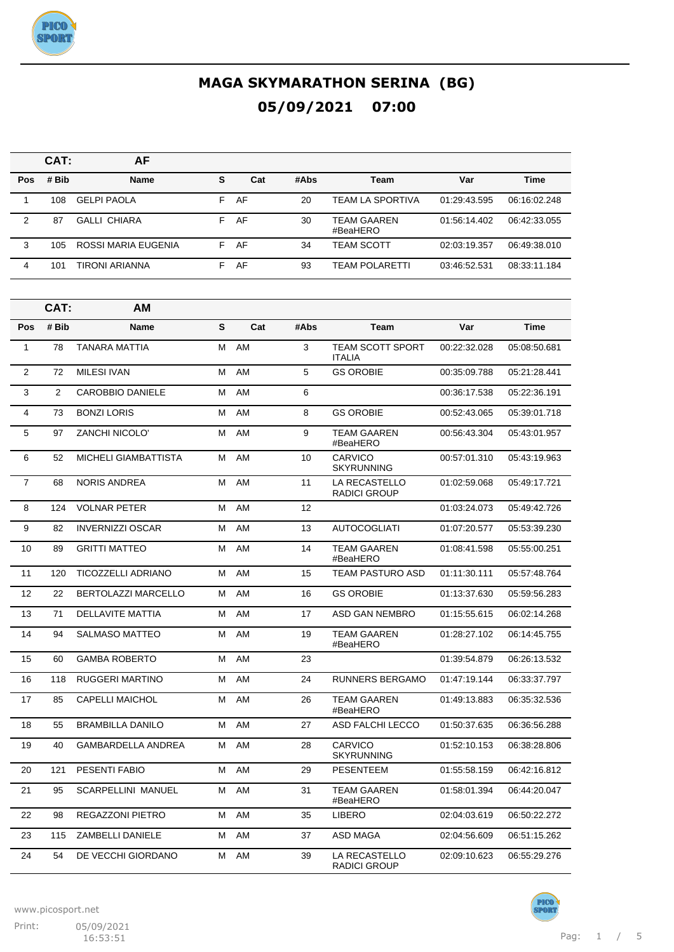

|            | CAT:  | AF                  |    |     |      |                                |              |              |
|------------|-------|---------------------|----|-----|------|--------------------------------|--------------|--------------|
| <b>Pos</b> | # Bib | <b>Name</b>         | s  | Cat | #Abs | Team                           | Var          | <b>Time</b>  |
|            | 108   | <b>GELPI PAOLA</b>  | F. | AF  | 20   | TEAM LA SPORTIVA               | 01:29:43.595 | 06:16:02.248 |
| 2          | 87    | <b>GALLI CHIARA</b> | F. | AF  | 30   | <b>TEAM GAAREN</b><br>#BeaHERO | 01:56:14.402 | 06:42:33.055 |
| 3          | 105   | ROSSI MARIA EUGENIA | F. | AF  | 34   | <b>TEAM SCOTT</b>              | 02:03:19.357 | 06:49:38.010 |
| 4          | 101   | TIRONI ARIANNA      | F. | AF  | 93   | TEAM POLARETTI                 | 03:46:52.531 | 08:33:11.184 |

|                | CAT:           | AМ                          |   |     |      |                                          |              |              |
|----------------|----------------|-----------------------------|---|-----|------|------------------------------------------|--------------|--------------|
| Pos            | # Bib          | <b>Name</b>                 | S | Cat | #Abs | Team                                     | Var          | <b>Time</b>  |
| $\mathbf{1}$   | 78             | <b>TANARA MATTIA</b>        | М | AM  | 3    | <b>TEAM SCOTT SPORT</b><br><b>ITALIA</b> | 00:22:32.028 | 05:08:50.681 |
| $\overline{2}$ | 72             | <b>MILESI IVAN</b>          | М | AM  | 5    | <b>GS OROBIE</b>                         | 00:35:09.788 | 05:21:28.441 |
| 3              | $\overline{2}$ | <b>CAROBBIO DANIELE</b>     | м | AM  | 6    |                                          | 00:36:17.538 | 05:22:36.191 |
| 4              | 73             | <b>BONZI LORIS</b>          | м | AM  | 8    | <b>GS OROBIE</b>                         | 00:52:43.065 | 05:39:01.718 |
| 5              | 97             | <b>ZANCHI NICOLO'</b>       | M | AM  | 9    | <b>TEAM GAAREN</b><br>#BeaHERO           | 00:56:43.304 | 05:43:01.957 |
| 6              | 52             | <b>MICHELI GIAMBATTISTA</b> | М | AM  | 10   | CARVICO<br><b>SKYRUNNING</b>             | 00:57:01.310 | 05:43:19.963 |
| $\overline{7}$ | 68             | <b>NORIS ANDREA</b>         | м | AM  | 11   | LA RECASTELLO<br><b>RADICI GROUP</b>     | 01:02:59.068 | 05:49:17.721 |
| 8              | 124            | <b>VOLNAR PETER</b>         | М | AM  | 12   |                                          | 01:03:24.073 | 05:49:42.726 |
| 9              | 82             | <b>INVERNIZZI OSCAR</b>     | M | AM  | 13   | <b>AUTOCOGLIATI</b>                      | 01:07:20.577 | 05:53:39.230 |
| 10             | 89             | <b>GRITTI MATTEO</b>        | м | AM  | 14   | <b>TEAM GAAREN</b><br>#BeaHERO           | 01:08:41.598 | 05:55:00.251 |
| 11             | 120            | TICOZZELLI ADRIANO          | м | AM  | 15   | <b>TEAM PASTURO ASD</b>                  | 01:11:30.111 | 05:57:48.764 |
| 12             | 22             | <b>BERTOLAZZI MARCELLO</b>  | М | AM  | 16   | <b>GS OROBIE</b>                         | 01:13:37.630 | 05:59:56.283 |
| 13             | 71             | <b>DELLAVITE MATTIA</b>     | м | AM  | 17   | ASD GAN NEMBRO                           | 01:15:55.615 | 06:02:14.268 |
| 14             | 94             | <b>SALMASO MATTEO</b>       | м | AM  | 19   | <b>TEAM GAAREN</b><br>#BeaHERO           | 01:28:27.102 | 06:14:45.755 |
| 15             | 60             | <b>GAMBA ROBERTO</b>        | м | AM  | 23   |                                          | 01:39:54.879 | 06:26:13.532 |
| 16             | 118            | <b>RUGGERI MARTINO</b>      | M | AM  | 24   | RUNNERS BERGAMO                          | 01:47:19.144 | 06:33:37.797 |
| 17             | 85             | <b>CAPELLI MAICHOL</b>      | М | AM  | 26   | <b>TEAM GAAREN</b><br>#BeaHERO           | 01:49:13.883 | 06:35:32.536 |
| 18             | 55             | <b>BRAMBILLA DANILO</b>     | м | AM  | 27   | <b>ASD FALCHI LECCO</b>                  | 01:50:37.635 | 06:36:56.288 |
| 19             | 40             | <b>GAMBARDELLA ANDREA</b>   | М | AM  | 28   | <b>CARVICO</b><br><b>SKYRUNNING</b>      | 01:52:10.153 | 06:38:28.806 |
| 20             | 121            | <b>PESENTI FABIO</b>        | м | AM  | 29   | <b>PESENTEEM</b>                         | 01:55:58.159 | 06:42:16.812 |
| 21             | 95             | <b>SCARPELLINI MANUEL</b>   | м | AM  | 31   | <b>TEAM GAAREN</b><br>#BeaHERO           | 01:58:01.394 | 06:44:20.047 |
| 22             | 98             | REGAZZONI PIETRO            | м | AM  | 35   | <b>LIBERO</b>                            | 02:04:03.619 | 06:50:22.272 |
| 23             | 115            | ZAMBELLI DANIELE            | м | AM  | 37   | ASD MAGA                                 | 02:04:56.609 | 06:51:15.262 |
| 24             | 54             | DE VECCHI GIORDANO          | м | AM  | 39   | LA RECASTELLO<br><b>RADICI GROUP</b>     | 02:09:10.623 | 06:55:29.276 |

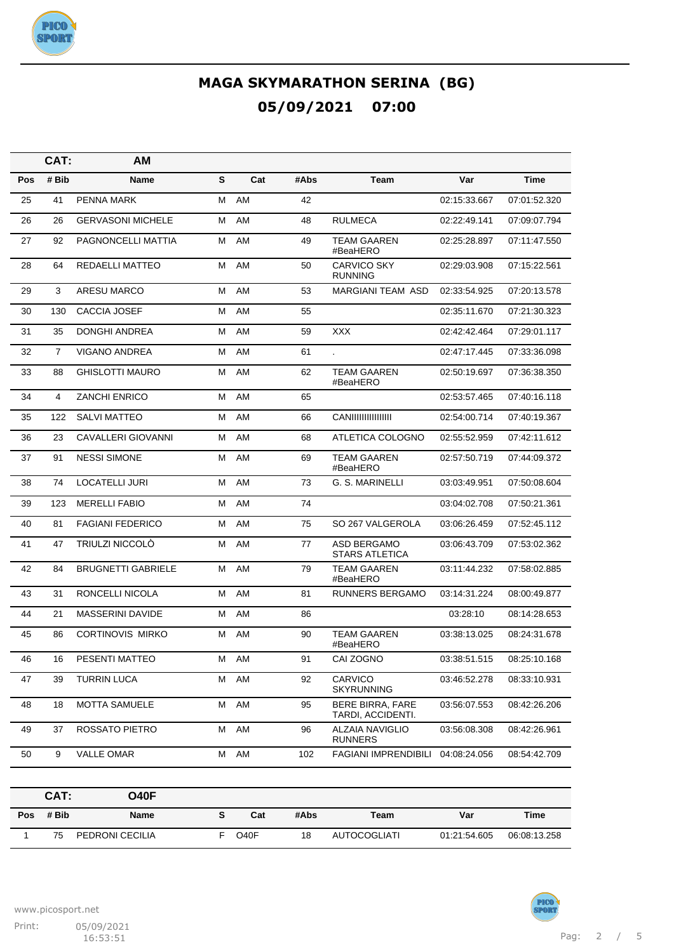

|     | CAT:           | AM                        |   |     |      |                                              |              |              |
|-----|----------------|---------------------------|---|-----|------|----------------------------------------------|--------------|--------------|
| Pos | # Bib          | Name                      | S | Cat | #Abs | Team                                         | Var          | <b>Time</b>  |
| 25  | 41             | <b>PENNA MARK</b>         | М | AM  | 42   |                                              | 02:15:33.667 | 07:01:52.320 |
| 26  | 26             | <b>GERVASONI MICHELE</b>  | М | AM  | 48   | <b>RULMECA</b>                               | 02:22:49.141 | 07:09:07.794 |
| 27  | 92             | PAGNONCELLI MATTIA        | М | AM  | 49   | <b>TEAM GAAREN</b><br>#BeaHERO               | 02:25:28.897 | 07:11:47.550 |
| 28  | 64             | REDAELLI MATTEO           | М | AM  | 50   | <b>CARVICO SKY</b><br><b>RUNNING</b>         | 02:29:03.908 | 07:15:22.561 |
| 29  | 3              | ARESU MARCO               | м | AM  | 53   | MARGIANI TEAM ASD                            | 02:33:54.925 | 07:20:13.578 |
| 30  | 130            | CACCIA JOSEF              | м | AM  | 55   |                                              | 02:35:11.670 | 07:21:30.323 |
| 31  | 35             | <b>DONGHI ANDREA</b>      | М | AM  | 59   | <b>XXX</b>                                   | 02:42:42.464 | 07:29:01.117 |
| 32  | $\overline{7}$ | <b>VIGANO ANDREA</b>      | м | AM  | 61   | l.                                           | 02:47:17.445 | 07:33:36.098 |
| 33  | 88             | <b>GHISLOTTI MAURO</b>    | М | AM  | 62   | TEAM GAAREN<br>#BeaHERO                      | 02:50:19.697 | 07:36:38.350 |
| 34  | 4              | <b>ZANCHI ENRICO</b>      | м | AM  | 65   |                                              | 02:53:57.465 | 07:40:16.118 |
| 35  | 122            | <b>SALVI MATTEO</b>       | М | AM  | 66   | <b>CANIIIIIIIIIIIIIII</b> II                 | 02:54:00.714 | 07:40:19.367 |
| 36  | 23             | <b>CAVALLERI GIOVANNI</b> | М | AM  | 68   | ATLETICA COLOGNO                             | 02:55:52.959 | 07:42:11.612 |
| 37  | 91             | <b>NESSI SIMONE</b>       | М | AM  | 69   | <b>TEAM GAAREN</b><br>#BeaHERO               | 02:57:50.719 | 07:44:09.372 |
| 38  | 74             | LOCATELLI JURI            | М | AM  | 73   | G. S. MARINELLI                              | 03:03:49.951 | 07:50:08.604 |
| 39  | 123            | <b>MERELLI FABIO</b>      | М | AM  | 74   |                                              | 03:04:02.708 | 07:50:21.361 |
| 40  | 81             | <b>FAGIANI FEDERICO</b>   | м | AM  | 75   | SO 267 VALGEROLA                             | 03:06:26.459 | 07:52:45.112 |
| 41  | 47             | <b>TRIULZI NICCOLO</b>    | М | AM  | 77   | ASD BERGAMO<br>STARS ATLETICA                | 03:06:43.709 | 07:53:02.362 |
| 42  | 84             | <b>BRUGNETTI GABRIELE</b> | м | AM  | 79   | TEAM GAAREN<br>#BeaHERO                      | 03:11:44.232 | 07:58:02.885 |
| 43  | 31             | RONCELLI NICOLA           | М | AM  | 81   | RUNNERS BERGAMO                              | 03:14:31.224 | 08:00:49.877 |
| 44  | 21             | <b>MASSERINI DAVIDE</b>   | М | AM  | 86   |                                              | 03:28:10     | 08:14:28.653 |
| 45  | 86             | <b>CORTINOVIS MIRKO</b>   | М | AM  | 90   | <b>TEAM GAAREN</b><br>#BeaHERO               | 03:38:13.025 | 08:24:31.678 |
| 46  | 16             | PESENTI MATTEO            | м | AM  | 91   | CAI ZOGNO                                    | 03:38:51.515 | 08:25:10.168 |
| 47  | 39             | <b>TURRIN LUCA</b>        | м | AM  | 92   | CARVICO<br>SKYRUNNING                        | 03:46:52.278 | 08:33:10.931 |
| 48  | 18             | <b>MOTTA SAMUELE</b>      | Μ | AM  | 95   | <b>BERE BIRRA, FARE</b><br>TARDI, ACCIDENTI. | 03:56:07.553 | 08:42:26.206 |
| 49  | 37             | ROSSATO PIETRO            | Μ | AM  | 96   | <b>ALZAIA NAVIGLIO</b><br><b>RUNNERS</b>     | 03:56:08.308 | 08:42:26.961 |
| 50  | 9              | <b>VALLE OMAR</b>         | М | AM  | 102  | <b>FAGIANI IMPRENDIBILI</b>                  | 04:08:24.056 | 08:54:42.709 |

|     | CAT:  | O40F            |                   |      |              |              |              |
|-----|-------|-----------------|-------------------|------|--------------|--------------|--------------|
| Pos | # Bib | Name            | Cat               | #Abs | Team         | Var          | Time         |
|     | 75    | PEDRONI CECILIA | O <sub>40</sub> F | 18   | AUTOCOGLIATI | 01:21:54.605 | 06:08:13.258 |

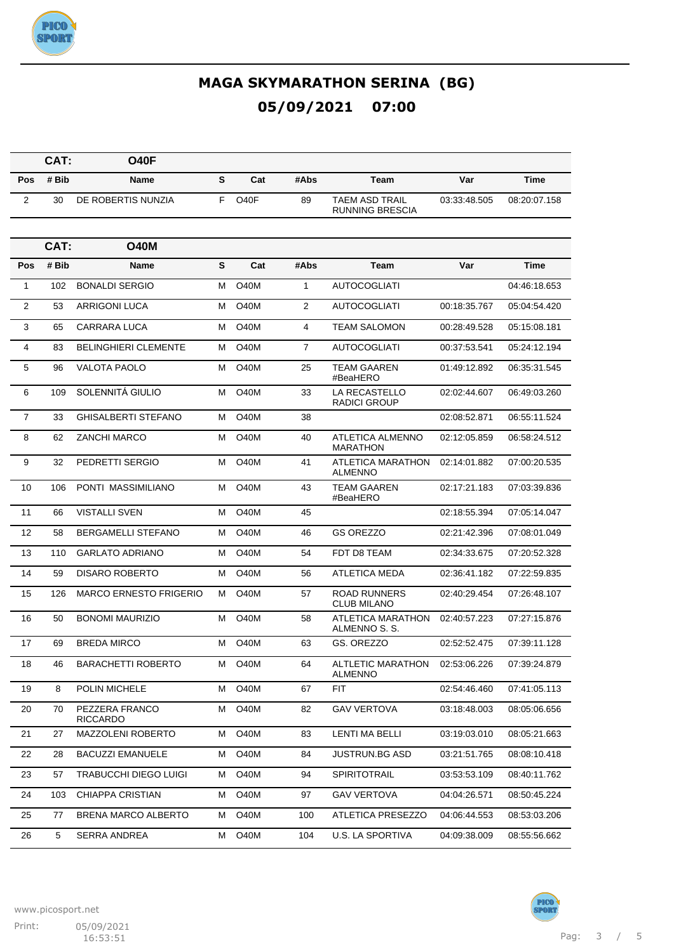

|                | CAT:  | <b>O40F</b>                       |   |                   |                |                                                  |              |              |
|----------------|-------|-----------------------------------|---|-------------------|----------------|--------------------------------------------------|--------------|--------------|
| Pos            | # Bib | <b>Name</b>                       | S | Cat               | #Abs           | Team                                             | Var          | <b>Time</b>  |
| 2              | 30    | DE ROBERTIS NUNZIA                | F | O <sub>40</sub> F | 89             | <b>TAEM ASD TRAIL</b><br><b>RUNNING BRESCIA</b>  | 03:33:48.505 | 08:20:07.158 |
|                |       |                                   |   |                   |                |                                                  |              |              |
|                | CAT:  | <b>O40M</b>                       |   |                   |                |                                                  |              |              |
| Pos            | # Bib | <b>Name</b>                       | S | Cat               | #Abs           | Team                                             | Var          | Time         |
| 1              | 102   | <b>BONALDI SERGIO</b>             | м | <b>O40M</b>       | 1              | <b>AUTOCOGLIATI</b>                              |              | 04:46:18.653 |
| 2              | 53    | <b>ARRIGONI LUCA</b>              | м | <b>O40M</b>       | $\overline{2}$ | <b>AUTOCOGLIATI</b>                              | 00:18:35.767 | 05:04:54.420 |
| 3              | 65    | CARRARA LUCA                      | м | <b>O40M</b>       | 4              | <b>TEAM SALOMON</b>                              | 00:28:49.528 | 05:15:08.181 |
| 4              | 83    | <b>BELINGHIERI CLEMENTE</b>       | м | <b>O40M</b>       | $\overline{7}$ | <b>AUTOCOGLIATI</b>                              | 00:37:53.541 | 05:24:12.194 |
| 5              | 96    | <b>VALOTA PAOLO</b>               | м | <b>O40M</b>       | 25             | <b>TEAM GAAREN</b><br>#BeaHERO                   | 01:49:12.892 | 06:35:31.545 |
| 6              | 109   | SOLENNITÁ GIULIO                  | м | O40M              | 33             | LA RECASTELLO<br>RADICI GROUP                    | 02:02:44.607 | 06:49:03.260 |
| $\overline{7}$ | 33    | <b>GHISALBERTI STEFANO</b>        | м | <b>O40M</b>       | 38             |                                                  | 02:08:52.871 | 06:55:11.524 |
| 8              | 62    | <b>ZANCHI MARCO</b>               | м | <b>O40M</b>       | 40             | <b>ATLETICA ALMENNO</b><br><b>MARATHON</b>       | 02:12:05.859 | 06:58:24.512 |
| 9              | 32    | PEDRETTI SERGIO                   | м | <b>O40M</b>       | 41             | ATLETICA MARATHON<br><b>ALMENNO</b>              | 02:14:01.882 | 07:00:20.535 |
| 10             | 106   | PONTI MASSIMILIANO                | м | <b>O40M</b>       | 43             | <b>TEAM GAAREN</b><br>#BeaHERO                   | 02:17:21.183 | 07:03:39.836 |
| 11             | 66    | <b>VISTALLI SVEN</b>              | м | <b>O40M</b>       | 45             |                                                  | 02:18:55.394 | 07:05:14.047 |
| 12             | 58    | <b>BERGAMELLI STEFANO</b>         | м | <b>O40M</b>       | 46             | <b>GS OREZZO</b>                                 | 02:21:42.396 | 07:08:01.049 |
| 13             | 110   | <b>GARLATO ADRIANO</b>            | м | <b>O40M</b>       | 54             | FDT D8 TEAM                                      | 02:34:33.675 | 07:20:52.328 |
| 14             | 59    | <b>DISARO ROBERTO</b>             | м | <b>O40M</b>       | 56             | ATLETICA MEDA                                    | 02:36:41.182 | 07:22:59.835 |
| 15             | 126   | <b>MARCO ERNESTO FRIGERIO</b>     | м | <b>O40M</b>       | 57             | <b>ROAD RUNNERS</b><br><b>CLUB MILANO</b>        | 02:40:29.454 | 07:26:48.107 |
| 16             | 50    | <b>BONOMI MAURIZIO</b>            | м | <b>O40M</b>       | 58             | ATLETICA MARATHON<br>ALMENNO S. S.               | 02:40:57.223 | 07:27:15.876 |
| 17             | 69    | <b>BREDA MIRCO</b>                | м | O40M              | 63             | GS. OREZZO                                       | 02:52:52.475 | 07:39:11.128 |
| 18             | 46    | BARACHETTI ROBERTO                |   | M O40M            | 64             | ALTLETIC MARATHON 02:53:06.226<br><b>ALMENNO</b> |              | 07:39:24.879 |
| 19             | 8     | POLIN MICHELE                     | М | O <sub>4</sub> 0M | 67             | <b>FIT</b>                                       | 02:54:46.460 | 07:41:05.113 |
| 20             | 70    | PEZZERA FRANCO<br><b>RICCARDO</b> | м | O40M              | 82             | <b>GAV VERTOVA</b>                               | 03:18:48.003 | 08:05:06.656 |
| 21             | 27    | MAZZOLENI ROBERTO                 | м | O40M              | 83             | <b>LENTI MA BELLI</b>                            | 03:19:03.010 | 08:05:21.663 |
| 22             | 28    | <b>BACUZZI EMANUELE</b>           | м | O40M              | 84             | JUSTRUN.BG ASD                                   | 03:21:51.765 | 08:08:10.418 |
| 23             | 57    | TRABUCCHI DIEGO LUIGI             | м | O40M              | 94             | SPIRITOTRAIL                                     | 03:53:53.109 | 08:40:11.762 |
| 24             | 103   | CHIAPPA CRISTIAN                  | м | O40M              | 97             | <b>GAV VERTOVA</b>                               | 04:04:26.571 | 08:50:45.224 |
| 25             | 77    | BRENA MARCO ALBERTO               | м | O40M              | 100            | ATLETICA PRESEZZO                                | 04:06:44.553 | 08:53:03.206 |
| 26             | 5     | SERRA ANDREA                      | м | O40M              | 104            | U.S. LA SPORTIVA                                 | 04:09:38.009 | 08:55:56.662 |



**PICO**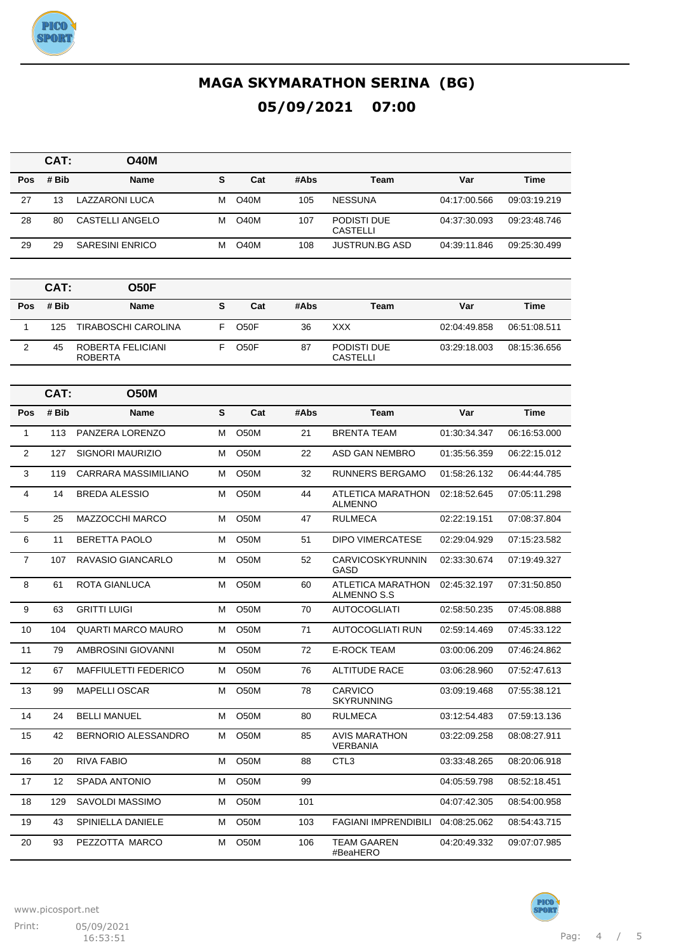

|                | CAT:  | <b>O40M</b>                         |   |                   |      |                                         |              |              |
|----------------|-------|-------------------------------------|---|-------------------|------|-----------------------------------------|--------------|--------------|
| Pos            | # Bib | <b>Name</b>                         | S | Cat               | #Abs | Team                                    | Var          | <b>Time</b>  |
| 27             | 13    | LAZZARONI LUCA                      | м | <b>O40M</b>       | 105  | <b>NESSUNA</b>                          | 04:17:00.566 | 09:03:19.219 |
| 28             | 80    | CASTELLI ANGELO                     | М | O40M              | 107  | PODISTI DUE<br><b>CASTELLI</b>          | 04:37:30.093 | 09:23:48.746 |
| 29             | 29    | <b>SARESINI ENRICO</b>              | М | <b>O40M</b>       | 108  | <b>JUSTRUN.BG ASD</b>                   | 04:39:11.846 | 09:25:30.499 |
|                |       |                                     |   |                   |      |                                         |              |              |
|                | CAT:  | <b>O50F</b>                         |   |                   |      |                                         |              |              |
| Pos            | # Bib | <b>Name</b>                         | S | Cat               | #Abs | Team                                    | Var          | <b>Time</b>  |
| $\mathbf{1}$   | 125   | <b>TIRABOSCHI CAROLINA</b>          | F | O <sub>5</sub> OF | 36   | XXX                                     | 02:04:49.858 | 06:51:08.511 |
| 2              | 45    | ROBERTA FELICIANI<br><b>ROBERTA</b> | F | O <sub>50</sub> F | 87   | PODISTI DUE<br><b>CASTELLI</b>          | 03:29:18.003 | 08:15:36.656 |
|                |       |                                     |   |                   |      |                                         |              |              |
|                | CAT:  | <b>O50M</b>                         |   |                   |      |                                         |              |              |
| Pos            | # Bib | <b>Name</b>                         | S | Cat               | #Abs | Team                                    | Var          | Time         |
| $\mathbf{1}$   | 113   | PANZERA LORENZO                     | М | <b>O50M</b>       | 21   | <b>BRENTA TEAM</b>                      | 01:30:34.347 | 06:16:53.000 |
| 2              | 127   | SIGNORI MAURIZIO                    | м | <b>O50M</b>       | 22   | ASD GAN NEMBRO                          | 01:35:56.359 | 06:22:15.012 |
| 3              | 119   | <b>CARRARA MASSIMILIANO</b>         | м | O50M              | 32   | <b>RUNNERS BERGAMO</b>                  | 01:58:26.132 | 06:44:44.785 |
| $\overline{4}$ | 14    | <b>BREDA ALESSIO</b>                | М | O50M              | 44   | ATLETICA MARATHON<br>ALMENNO            | 02:18:52.645 | 07:05:11.298 |
| 5              | 25    | MAZZOCCHI MARCO                     | м | O <sub>50</sub> M | 47   | <b>RULMECA</b>                          | 02:22:19.151 | 07:08:37.804 |
| 6              | 11    | <b>BERETTA PAOLO</b>                | м | O <sub>5</sub> 0M | 51   | <b>DIPO VIMERCATESE</b>                 | 02:29:04.929 | 07:15:23.582 |
| $\overline{7}$ | 107   | RAVASIO GIANCARLO                   | М | O <sub>5</sub> 0M | 52   | CARVICOSKYRUNNIN<br>GASD                | 02:33:30.674 | 07:19:49.327 |
| 8              | 61    | ROTA GIANLUCA                       | М | <b>O50M</b>       | 60   | ATLETICA MARATHON<br>ALMENNO S.S        | 02:45:32.197 | 07:31:50.850 |
| 9              | 63    | <b>GRITTI LUIGI</b>                 | м | O <sub>5</sub> 0M | 70   | <b>AUTOCOGLIATI</b>                     | 02:58:50.235 | 07:45:08.888 |
| 10             | 104   | <b>QUARTI MARCO MAURO</b>           | м | O50M              | 71   | <b>AUTOCOGLIATI RUN</b>                 | 02:59:14.469 | 07:45:33.122 |
| 11             | 79    | AMBROSINI GIOVANNI                  | М | O <sub>5</sub> 0M | 72   | <b>E-ROCK TEAM</b>                      | 03:00:06.209 | 07:46:24.862 |
| 12             | 67    | MAFFIULETTI FEDERICO                | М | O50M              | 76   | <b>ALTITUDE RACE</b>                    | 03:06:28.960 | 07:52:47.613 |
| 13             | 99    | <b>MAPELLI OSCAR</b>                | М | O50M              | 78   | <b>CARVICO</b><br><b>SKYRUNNING</b>     | 03:09:19.468 | 07:55:38.121 |
| 14             | 24    | <b>BELLI MANUEL</b>                 | М | O50M              | 80   | <b>RULMECA</b>                          | 03:12:54.483 | 07:59:13.136 |
| 15             | 42    | BERNORIO ALESSANDRO                 | М | O50M              | 85   | <b>AVIS MARATHON</b><br><b>VERBANIA</b> | 03:22:09.258 | 08:08:27.911 |
| 16             | 20    | RIVA FABIO                          | М | O50M              | 88   | CTL <sub>3</sub>                        | 03:33:48.265 | 08:20:06.918 |
| 17             | 12    | SPADA ANTONIO                       | М | O50M              | 99   |                                         | 04:05:59.798 | 08:52:18.451 |
| 18             | 129   | SAVOLDI MASSIMO                     | M | O50M              | 101  |                                         | 04:07:42.305 | 08:54:00.958 |

19 43 SPINIELLA DANIELE M O50M 103 FAGIANI IMPRENDIBILI 04:08:25.062 08:54:43.715

#BeaHERO

20 93 PEZZOTTA MARCO M O50M 106 TEAM GAAREN



04:20:49.332 09:07:07.985